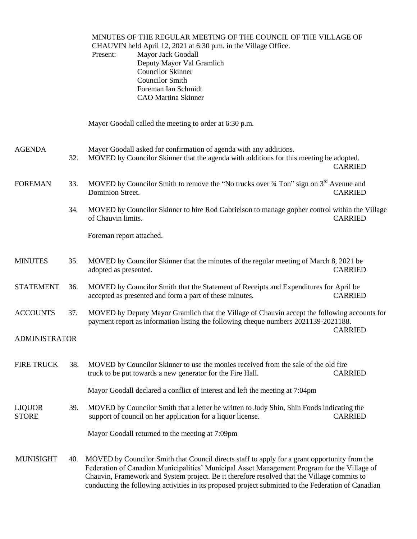MINUTES OF THE REGULAR MEETING OF THE COUNCIL OF THE VILLAGE OF CHAUVIN held April 12, 2021 at 6:30 p.m. in the Village Office. Present: Mayor Jack Goodall Deputy Mayor Val Gramlich Councilor Skinner Councilor Smith Foreman Ian Schmidt CAO Martina Skinner Mayor Goodall called the meeting to order at 6:30 p.m. AGENDA Mayor Goodall asked for confirmation of agenda with any additions. 32. MOVED by Councilor Skinner that the agenda with additions for this meeting be adopted. CARRIED FOREMAN 33. MOVED by Councilor Smith to remove the "No trucks over  $\frac{3}{4}$  Ton" sign on  $3^{\text{rd}}$  Avenue and Dominion Street. CARRIED 34. MOVED by Councilor Skinner to hire Rod Gabrielson to manage gopher control within the Village of Chauvin limits. CARRIED Foreman report attached. MINUTES 35. MOVED by Councilor Skinner that the minutes of the regular meeting of March 8, 2021 be adopted as presented. CARRIED STATEMENT 36. MOVED by Councilor Smith that the Statement of Receipts and Expenditures for April be accepted as presented and form a part of these minutes. CARRIED ACCOUNTS 37. MOVED by Deputy Mayor Gramlich that the Village of Chauvin accept the following accounts for payment report as information listing the following cheque numbers 2021139-2021188. CARRIED ADMINISTRATOR FIRE TRUCK 38. MOVED by Councilor Skinner to use the monies received from the sale of the old fire truck to be put towards a new generator for the Fire Hall. CARRIED Mayor Goodall declared a conflict of interest and left the meeting at 7:04pm LIQUOR 39. MOVED by Councilor Smith that a letter be written to Judy Shin, Shin Foods indicating the<br>STORE SUPPORT SUPPORT OF A SUPPORT SHINGLE STORE support of council on her application for a liquor license. CARRIED Mayor Goodall returned to the meeting at 7:09pm MUNISIGHT 40. MOVED by Councilor Smith that Council directs staff to apply for a grant opportunity from the Federation of Canadian Municipalities' Municipal Asset Management Program for the Village of Chauvin, Framework and System project. Be it therefore resolved that the Village commits to conducting the following activities in its proposed project submitted to the Federation of Canadian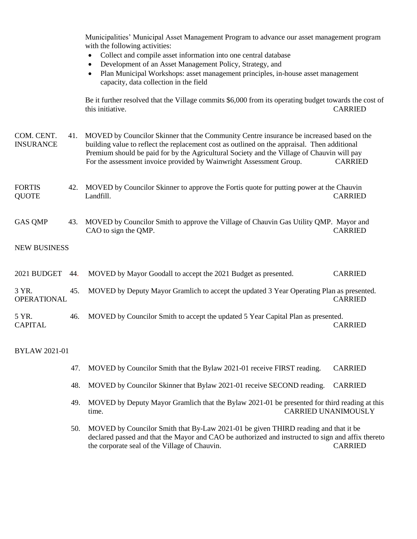Municipalities' Municipal Asset Management Program to advance our asset management program with the following activities:

- Collect and compile asset information into one central database
- Development of an Asset Management Policy, Strategy, and
- Plan Municipal Workshops: asset management principles, in-house asset management capacity, data collection in the field

Be it further resolved that the Village commits \$6,000 from its operating budget towards the cost of this initiative. CARRIED

- COM. CENT. 41. MOVED by Councilor Skinner that the Community Centre insurance be increased based on the INSURANCE building value to reflect the replacement cost as outlined on the appraisal. Then additional Premium should be paid for by the Agricultural Society and the Village of Chauvin will pay For the assessment invoice provided by Wainwright Assessment Group. CARRIED
- FORTIS 42. MOVED by Councilor Skinner to approve the Fortis quote for putting power at the Chauvin QUOTE Landfill. CARRIED
- GAS QMP 43. MOVED by Councilor Smith to approve the Village of Chauvin Gas Utility QMP. Mayor and CAO to sign the QMP. CARRIED

## NEW BUSINESS

| 2021 BUDGET 44.             |     | MOVED by Mayor Goodall to accept the 2021 Budget as presented.                           | <b>CARRIED</b> |
|-----------------------------|-----|------------------------------------------------------------------------------------------|----------------|
| 3 YR.<br><b>OPERATIONAL</b> | 45. | MOVED by Deputy Mayor Gramlich to accept the updated 3 Year Operating Plan as presented. | <b>CARRIED</b> |
| 5 YR.<br><b>CAPITAL</b>     | 46. | MOVED by Councilor Smith to accept the updated 5 Year Capital Plan as presented.         | <b>CARRIED</b> |

BYLAW 2021-01

- 47. MOVED by Councilor Smith that the Bylaw 2021-01 receive FIRST reading. CARRIED
- 48. MOVED by Councilor Skinner that Bylaw 2021-01 receive SECOND reading. CARRIED
- 49. MOVED by Deputy Mayor Gramlich that the Bylaw 2021-01 be presented for third reading at this time. CARRIED UNANIMOUSLY
- 50. MOVED by Councilor Smith that By-Law 2021-01 be given THIRD reading and that it be declared passed and that the Mayor and CAO be authorized and instructed to sign and affix thereto the corporate seal of the Village of Chauvin. CARRIED